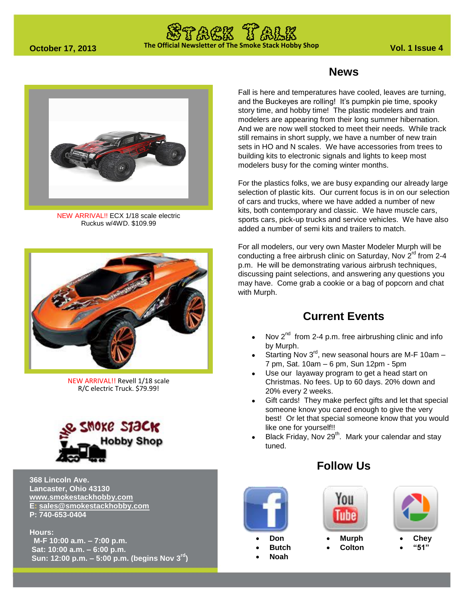# **The Official Newsletter of The Smoke Stack Hobby Shop October 17, 2013 Vol. 1 Issue 4**



NEW ARRIVAL!! ECX 1/18 scale electric Ruckus w/4WD. \$109.99



NEW ARRIVAL!! Revell 1/18 scale R/C electric Truck. \$79.99!



**368 Lincoln Ave. Lancaster, Ohio 43130 [www.smokestackhobby.com](http://www.smokestackhobby.com/) E: [sales@smokestackhobby.com](mailto:sales@smokestackhobby.com) P: 740-653-0404**

**Hours:**

 **M-F 10:00 a.m. – 7:00 p.m. Sat: 10:00 a.m. – 6:00 p.m. Sun: 12:00 p.m. – 5:00 p.m. (begins Nov 3rd)**

### **News**

Fall is here and temperatures have cooled, leaves are turning, and the Buckeyes are rolling! It's pumpkin pie time, spooky story time, and hobby time! The plastic modelers and train modelers are appearing from their long summer hibernation. And we are now well stocked to meet their needs. While track still remains in short supply, we have a number of new train sets in HO and N scales. We have accessories from trees to building kits to electronic signals and lights to keep most modelers busy for the coming winter months.

For the plastics folks, we are busy expanding our already large selection of plastic kits. Our current focus is in on our selection of cars and trucks, where we have added a number of new kits, both contemporary and classic. We have muscle cars, sports cars, pick-up trucks and service vehicles. We have also added a number of semi kits and trailers to match.

For all modelers, our very own Master Modeler Murph will be conducting a free airbrush clinic on Saturday, Nov  $2^{\text{rd}}$  from 2-4 p.m. He will be demonstrating various airbrush techniques, discussing paint selections, and answering any questions you may have. Come grab a cookie or a bag of popcorn and chat with Murph.

### **Current Events**

- Nov  $2^{nd}$  from 2-4 p.m. free airbrushing clinic and info by Murph.
- Starting Nov  $3^{\text{rd}}$ , new seasonal hours are M-F 10am -7 pm, Sat. 10am – 6 pm, Sun 12pm - 5pm
- Use our layaway program to get a head start on Christmas. No fees. Up to 60 days. 20% down and 20% every 2 weeks.
- Gift cards! They make perfect gifts and let that special someone know you cared enough to give the very best! Or let that special someone know that you would like one for yourself!!
- Black Friday, Nov  $29<sup>th</sup>$ . Mark your calendar and stay tuned.

## **Follow Us**



 **Butch Noah**



 **Murph Colton**



 **Chey "51"**